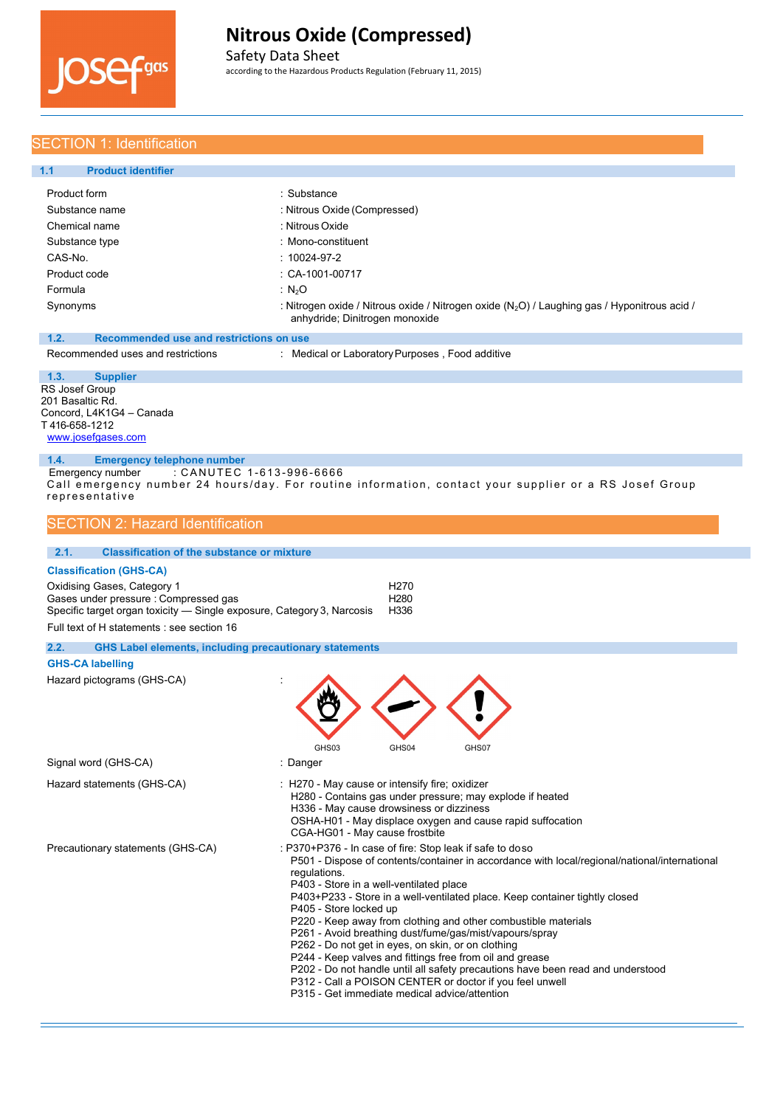

Safety Data Sheet according to the Hazardous Products Regulation (February 11, 2015)

### SECTION 1: Identification

| <b>Product identifier</b><br>1.1                |                                                                                                                                  |
|-------------------------------------------------|----------------------------------------------------------------------------------------------------------------------------------|
| Product form                                    | ∴ Substance                                                                                                                      |
| Substance name                                  | : Nitrous Oxide (Compressed)                                                                                                     |
| Chemical name                                   | : Nitrous Oxide                                                                                                                  |
| Substance type                                  | : Mono-constituent                                                                                                               |
| CAS-No.                                         | $:10024 - 97 - 2$                                                                                                                |
| Product code                                    | $\therefore$ CA-1001-00717                                                                                                       |
| Formula                                         | : $N_2O$                                                                                                                         |
| Synonyms                                        | : Nitrogen oxide / Nitrous oxide / Nitrogen oxide $(N_2O)$ / Laughing gas / Hyponitrous acid /<br>anhydride; Dinitrogen monoxide |
| Recommended use and restrictions on use<br>1.2. |                                                                                                                                  |
| Recommended uses and restrictions               | : Medical or Laboratory Purposes, Food additive                                                                                  |

RS Josef Group 201 Basaltic Rd. Concord, L4K1G4 – Canada T 416-658-1212 [www.josefgases.com](http://www.josefgases.com/) **1.3. Supplier**

### **1.4. Emergency telephone number**

Emergency number : CANUTEC 1-613-996-6666 Call emergency number 24 hours/day. For routine information, contact your supplier or a RS Josef Group representative

### **SECTION 2: Hazard Identification**

| <b>Classification of the substance or mixture</b><br>2.1.                                                                                                                                    |                                                                                                                                                                                                                                                                                                                                                                                                                                                                                                                                                                                                                                                                                                                                                                                                                |                                                                                                                                                                     |  |
|----------------------------------------------------------------------------------------------------------------------------------------------------------------------------------------------|----------------------------------------------------------------------------------------------------------------------------------------------------------------------------------------------------------------------------------------------------------------------------------------------------------------------------------------------------------------------------------------------------------------------------------------------------------------------------------------------------------------------------------------------------------------------------------------------------------------------------------------------------------------------------------------------------------------------------------------------------------------------------------------------------------------|---------------------------------------------------------------------------------------------------------------------------------------------------------------------|--|
| <b>Classification (GHS-CA)</b>                                                                                                                                                               |                                                                                                                                                                                                                                                                                                                                                                                                                                                                                                                                                                                                                                                                                                                                                                                                                |                                                                                                                                                                     |  |
| Oxidising Gases, Category 1<br>Gases under pressure : Compressed gas<br>Specific target organ toxicity - Single exposure, Category 3, Narcosis<br>Full text of H statements : see section 16 |                                                                                                                                                                                                                                                                                                                                                                                                                                                                                                                                                                                                                                                                                                                                                                                                                | H <sub>270</sub><br>H <sub>280</sub><br>H336                                                                                                                        |  |
| 2.2.<br><b>GHS Label elements, including precautionary statements</b>                                                                                                                        |                                                                                                                                                                                                                                                                                                                                                                                                                                                                                                                                                                                                                                                                                                                                                                                                                |                                                                                                                                                                     |  |
| <b>GHS-CA labelling</b>                                                                                                                                                                      |                                                                                                                                                                                                                                                                                                                                                                                                                                                                                                                                                                                                                                                                                                                                                                                                                |                                                                                                                                                                     |  |
| Hazard pictograms (GHS-CA)                                                                                                                                                                   | GHS03                                                                                                                                                                                                                                                                                                                                                                                                                                                                                                                                                                                                                                                                                                                                                                                                          | GHS04<br>GHS07                                                                                                                                                      |  |
| Signal word (GHS-CA)                                                                                                                                                                         | : Danger                                                                                                                                                                                                                                                                                                                                                                                                                                                                                                                                                                                                                                                                                                                                                                                                       |                                                                                                                                                                     |  |
| Hazard statements (GHS-CA)                                                                                                                                                                   | : H270 - May cause or intensify fire; oxidizer                                                                                                                                                                                                                                                                                                                                                                                                                                                                                                                                                                                                                                                                                                                                                                 | H280 - Contains gas under pressure; may explode if heated<br>H336 - May cause drowsiness or dizziness<br>OSHA-H01 - May displace oxygen and cause rapid suffocation |  |
| Precautionary statements (GHS-CA)                                                                                                                                                            | CGA-HG01 - May cause frostbite<br>: P370+P376 - In case of fire: Stop leak if safe to doso<br>P501 - Dispose of contents/container in accordance with local/regional/national/international<br>requlations.<br>P403 - Store in a well-ventilated place<br>P403+P233 - Store in a well-ventilated place. Keep container tightly closed<br>P405 - Store locked up<br>P220 - Keep away from clothing and other combustible materials<br>P261 - Avoid breathing dust/fume/gas/mist/vapours/spray<br>P262 - Do not get in eyes, on skin, or on clothing<br>P244 - Keep valves and fittings free from oil and grease<br>P202 - Do not handle until all safety precautions have been read and understood<br>P312 - Call a POISON CENTER or doctor if you feel unwell<br>P315 - Get immediate medical advice/attention |                                                                                                                                                                     |  |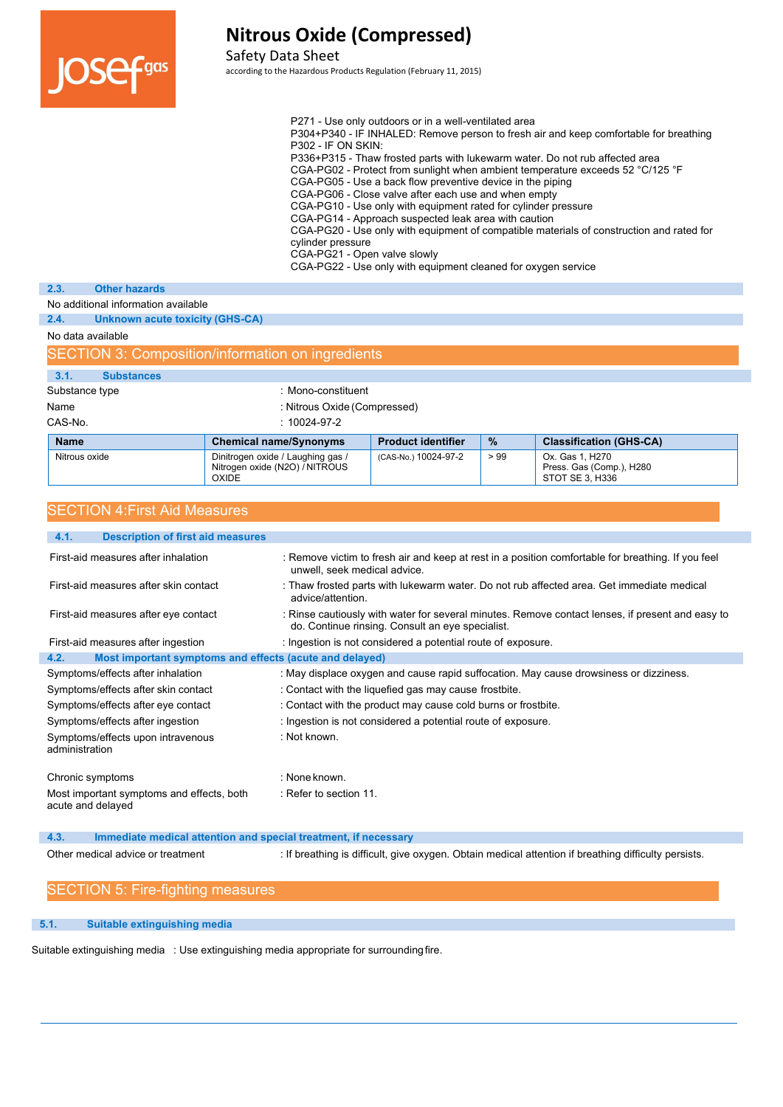

SECTION

# **Nitrous Oxide (Compressed)**

### Safety Data Sheet

according to the Hazardous Products Regulation (February 11, 2015)

|                                                   |                                 | P271 - Use only outdoors or in a well-ventilated area<br>P304+P340 - IF INHALED: Remove person to fresh air and keep comfortable for breathing<br>$P302 - IF ON SKIN$<br>P336+P315 - Thaw frosted parts with lukewarm water. Do not rub affected area<br>CGA-PG02 - Protect from sunlight when ambient temperature exceeds 52 °C/125 °F<br>CGA-PG05 - Use a back flow preventive device in the piping<br>CGA-PG06 - Close valve after each use and when empty<br>CGA-PG10 - Use only with equipment rated for cylinder pressure<br>CGA-PG14 - Approach suspected leak area with caution<br>CGA-PG20 - Use only with equipment of compatible materials of construction and rated for<br>cylinder pressure<br>CGA-PG21 - Open valve slowly<br>CGA-PG22 - Use only with equipment cleaned for oxygen service |  |
|---------------------------------------------------|---------------------------------|-----------------------------------------------------------------------------------------------------------------------------------------------------------------------------------------------------------------------------------------------------------------------------------------------------------------------------------------------------------------------------------------------------------------------------------------------------------------------------------------------------------------------------------------------------------------------------------------------------------------------------------------------------------------------------------------------------------------------------------------------------------------------------------------------------------|--|
| 2.3.                                              | <b>Other hazards</b>            |                                                                                                                                                                                                                                                                                                                                                                                                                                                                                                                                                                                                                                                                                                                                                                                                           |  |
| No additional information available               |                                 |                                                                                                                                                                                                                                                                                                                                                                                                                                                                                                                                                                                                                                                                                                                                                                                                           |  |
| 2.4.                                              | Unknown acute toxicity (GHS-CA) |                                                                                                                                                                                                                                                                                                                                                                                                                                                                                                                                                                                                                                                                                                                                                                                                           |  |
| No data available                                 |                                 |                                                                                                                                                                                                                                                                                                                                                                                                                                                                                                                                                                                                                                                                                                                                                                                                           |  |
| SECTION 3: Composition/information on ingredients |                                 |                                                                                                                                                                                                                                                                                                                                                                                                                                                                                                                                                                                                                                                                                                                                                                                                           |  |

| 3.1.           | <b>Substances</b> |                               |                           |      |                                |
|----------------|-------------------|-------------------------------|---------------------------|------|--------------------------------|
| Substance type |                   | : Mono-constituent            |                           |      |                                |
| Name           |                   | : Nitrous Oxide (Compressed)  |                           |      |                                |
| CAS-No.        |                   | $: 10024 - 97 - 2$            |                           |      |                                |
| <b>Name</b>    |                   | <b>Chemical name/Synonyms</b> | <b>Product identifier</b> | $\%$ | <b>Classification (GHS-CA)</b> |
| Nitrous oxide  |                   |                               |                           |      |                                |

### SECTION 4:First Aid Measures

| 4.1.<br><b>Description of first aid measures</b>                        |                                                                                                                                                      |
|-------------------------------------------------------------------------|------------------------------------------------------------------------------------------------------------------------------------------------------|
| First-aid measures after inhalation                                     | : Remove victim to fresh air and keep at rest in a position comfortable for breathing. If you feel<br>unwell, seek medical advice.                   |
| First-aid measures after skin contact                                   | : Thaw frosted parts with lukewarm water. Do not rub affected area. Get immediate medical<br>advice/attention.                                       |
| First-aid measures after eye contact                                    | : Rinse cautiously with water for several minutes. Remove contact lenses, if present and easy to<br>do. Continue rinsing. Consult an eye specialist. |
| First-aid measures after ingestion                                      | : Ingestion is not considered a potential route of exposure.                                                                                         |
| 4.2.<br>Most important symptoms and effects (acute and delayed)         |                                                                                                                                                      |
| Symptoms/effects after inhalation                                       | : May displace oxygen and cause rapid suffocation. May cause drowsiness or dizziness.                                                                |
| Symptoms/effects after skin contact                                     | : Contact with the liquefied gas may cause frostbite.                                                                                                |
| Symptoms/effects after eye contact                                      | : Contact with the product may cause cold burns or frostbite.                                                                                        |
| Symptoms/effects after ingestion                                        | : Ingestion is not considered a potential route of exposure.                                                                                         |
| Symptoms/effects upon intravenous<br>administration                     | : Not known.                                                                                                                                         |
| Chronic symptoms                                                        | : None known.                                                                                                                                        |
| Most important symptoms and effects, both<br>acute and delayed          | : Refer to section 11.                                                                                                                               |
| 4.3.<br>Immediate medical attention and special treatment, if necessary |                                                                                                                                                      |

Other medical advice or treatment : If breathing is difficult, give oxygen. Obtain medical attention if breathing difficulty persists.

### SECTION 5: Fire-fighting measures

### **5.1. Suitable extinguishing media**

Suitable extinguishing media : Use extinguishing media appropriate for surroundingfire.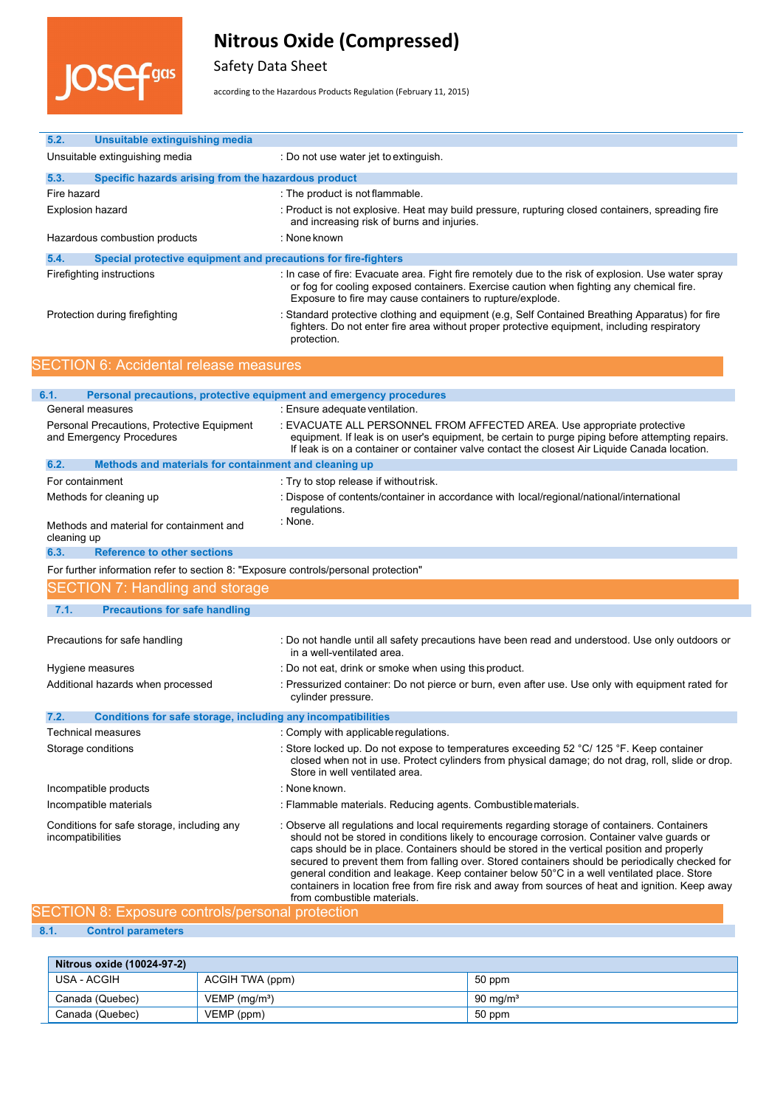

Safety Data Sheet

according to the Hazardous Products Regulation (February 11, 2015)

| 5.2.<br><b>Unsuitable extinguishing media</b>                                       |                                                                                                                                                                                                                                                                                                                                                                                                                                                                                                                                                                                                                               |
|-------------------------------------------------------------------------------------|-------------------------------------------------------------------------------------------------------------------------------------------------------------------------------------------------------------------------------------------------------------------------------------------------------------------------------------------------------------------------------------------------------------------------------------------------------------------------------------------------------------------------------------------------------------------------------------------------------------------------------|
| Unsuitable extinguishing media                                                      | : Do not use water jet to extinguish.                                                                                                                                                                                                                                                                                                                                                                                                                                                                                                                                                                                         |
| 5.3.<br>Specific hazards arising from the hazardous product                         |                                                                                                                                                                                                                                                                                                                                                                                                                                                                                                                                                                                                                               |
| Fire hazard                                                                         | : The product is not flammable.                                                                                                                                                                                                                                                                                                                                                                                                                                                                                                                                                                                               |
| <b>Explosion hazard</b>                                                             | : Product is not explosive. Heat may build pressure, rupturing closed containers, spreading fire<br>and increasing risk of burns and injuries.                                                                                                                                                                                                                                                                                                                                                                                                                                                                                |
| Hazardous combustion products                                                       | : None known                                                                                                                                                                                                                                                                                                                                                                                                                                                                                                                                                                                                                  |
| 5.4.<br>Special protective equipment and precautions for fire-fighters              |                                                                                                                                                                                                                                                                                                                                                                                                                                                                                                                                                                                                                               |
| Firefighting instructions                                                           | : In case of fire: Evacuate area. Fight fire remotely due to the risk of explosion. Use water spray<br>or fog for cooling exposed containers. Exercise caution when fighting any chemical fire.<br>Exposure to fire may cause containers to rupture/explode.                                                                                                                                                                                                                                                                                                                                                                  |
| Protection during firefighting                                                      | : Standard protective clothing and equipment (e.g, Self Contained Breathing Apparatus) for fire<br>fighters. Do not enter fire area without proper protective equipment, including respiratory<br>protection.                                                                                                                                                                                                                                                                                                                                                                                                                 |
| <b>SECTION 6: Accidental release measures</b>                                       |                                                                                                                                                                                                                                                                                                                                                                                                                                                                                                                                                                                                                               |
|                                                                                     |                                                                                                                                                                                                                                                                                                                                                                                                                                                                                                                                                                                                                               |
| 6.1.                                                                                | Personal precautions, protective equipment and emergency procedures<br>: Ensure adequate ventilation.                                                                                                                                                                                                                                                                                                                                                                                                                                                                                                                         |
| General measures                                                                    |                                                                                                                                                                                                                                                                                                                                                                                                                                                                                                                                                                                                                               |
| Personal Precautions, Protective Equipment<br>and Emergency Procedures              | : EVACUATE ALL PERSONNEL FROM AFFECTED AREA. Use appropriate protective<br>equipment. If leak is on user's equipment, be certain to purge piping before attempting repairs.<br>If leak is on a container or container valve contact the closest Air Liquide Canada location.                                                                                                                                                                                                                                                                                                                                                  |
| 6.2.<br>Methods and materials for containment and cleaning up                       |                                                                                                                                                                                                                                                                                                                                                                                                                                                                                                                                                                                                                               |
| For containment                                                                     | : Try to stop release if without risk.                                                                                                                                                                                                                                                                                                                                                                                                                                                                                                                                                                                        |
| Methods for cleaning up                                                             | : Dispose of contents/container in accordance with local/regional/national/international<br>regulations.                                                                                                                                                                                                                                                                                                                                                                                                                                                                                                                      |
| Methods and material for containment and<br>cleaning up                             | : None.                                                                                                                                                                                                                                                                                                                                                                                                                                                                                                                                                                                                                       |
| <b>Reference to other sections</b><br>6.3.                                          |                                                                                                                                                                                                                                                                                                                                                                                                                                                                                                                                                                                                                               |
| For further information refer to section 8: "Exposure controls/personal protection" |                                                                                                                                                                                                                                                                                                                                                                                                                                                                                                                                                                                                                               |
| <b>SECTION 7: Handling and storage</b>                                              |                                                                                                                                                                                                                                                                                                                                                                                                                                                                                                                                                                                                                               |
| 7.1.<br><b>Precautions for safe handling</b>                                        |                                                                                                                                                                                                                                                                                                                                                                                                                                                                                                                                                                                                                               |
| Precautions for safe handling                                                       | : Do not handle until all safety precautions have been read and understood. Use only outdoors or<br>in a well-ventilated area.                                                                                                                                                                                                                                                                                                                                                                                                                                                                                                |
| Hygiene measures                                                                    | : Do not eat, drink or smoke when using this product.                                                                                                                                                                                                                                                                                                                                                                                                                                                                                                                                                                         |
| Additional hazards when processed                                                   | : Pressurized container: Do not pierce or burn, even after use. Use only with equipment rated for<br>cylinder pressure.                                                                                                                                                                                                                                                                                                                                                                                                                                                                                                       |
| 7.2.<br>Conditions for safe storage, including any incompatibilities                |                                                                                                                                                                                                                                                                                                                                                                                                                                                                                                                                                                                                                               |
| Technical measures                                                                  | : Comply with applicable regulations.                                                                                                                                                                                                                                                                                                                                                                                                                                                                                                                                                                                         |
| Storage conditions                                                                  | : Store locked up. Do not expose to temperatures exceeding 52 °C/ 125 °F. Keep container<br>closed when not in use. Protect cylinders from physical damage; do not drag, roll, slide or drop.<br>Store in well ventilated area.                                                                                                                                                                                                                                                                                                                                                                                               |
| Incompatible products                                                               | : None known.                                                                                                                                                                                                                                                                                                                                                                                                                                                                                                                                                                                                                 |
| Incompatible materials                                                              | : Flammable materials. Reducing agents. Combustible materials.                                                                                                                                                                                                                                                                                                                                                                                                                                                                                                                                                                |
| Conditions for safe storage, including any<br>incompatibilities                     | : Observe all regulations and local requirements regarding storage of containers. Containers<br>should not be stored in conditions likely to encourage corrosion. Container valve guards or<br>caps should be in place. Containers should be stored in the vertical position and properly<br>secured to prevent them from falling over. Stored containers should be periodically checked for<br>general condition and leakage. Keep container below 50°C in a well ventilated place. Store<br>containers in location free from fire risk and away from sources of heat and ignition. Keep away<br>from combustible materials. |

# SECTION 8: Exposure controls/personal protection

**8.1. Control parameters**

| Nitrous oxide (10024-97-2) |                             |                     |
|----------------------------|-----------------------------|---------------------|
| USA - ACGIH                | ACGIH TWA (ppm)             | 50 ppm              |
| Canada (Quebec)            | $VEMP$ (mg/m <sup>3</sup> ) | $90 \text{ mg/m}^3$ |
| Canada (Quebec)            | VEMP (ppm)                  | 50 ppm              |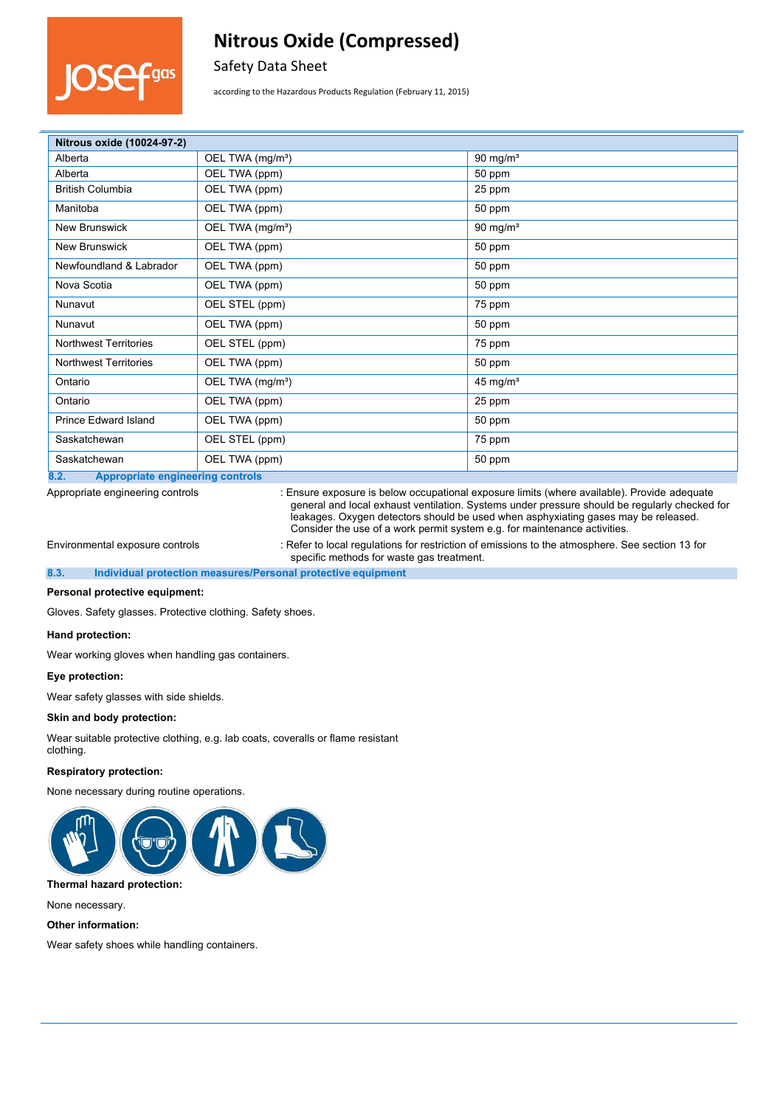

Safety Data Sheet

according to the Hazardous Products Regulation (February 11, 2015)

| Nitrous oxide (10024-97-2)                      |                              |                     |
|-------------------------------------------------|------------------------------|---------------------|
| Alberta                                         | OEL TWA (mg/m <sup>3</sup> ) | 90 mg/ $m3$         |
| Alberta                                         | OEL TWA (ppm)                | 50 ppm              |
| <b>British Columbia</b>                         | OEL TWA (ppm)                | 25 ppm              |
| Manitoba                                        | OEL TWA (ppm)                | 50 ppm              |
| <b>New Brunswick</b>                            | OEL TWA (mg/m <sup>3</sup> ) | 90 mg/ $m3$         |
| <b>New Brunswick</b>                            | OEL TWA (ppm)                | 50 ppm              |
| Newfoundland & Labrador                         | OEL TWA (ppm)                | 50 ppm              |
| Nova Scotia                                     | OEL TWA (ppm)                | 50 ppm              |
| Nunavut                                         | OEL STEL (ppm)               | 75 ppm              |
| Nunavut                                         | OEL TWA (ppm)                | 50 ppm              |
| <b>Northwest Territories</b>                    | OEL STEL (ppm)               | 75 ppm              |
| <b>Northwest Territories</b>                    | OEL TWA (ppm)                | 50 ppm              |
| Ontario                                         | OEL TWA (mg/m <sup>3</sup> ) | $45 \text{ mg/m}^3$ |
| Ontario                                         | OEL TWA (ppm)                | 25 ppm              |
| <b>Prince Edward Island</b>                     | OEL TWA (ppm)                | 50 ppm              |
| Saskatchewan                                    | OEL STEL (ppm)               | 75 ppm              |
| Saskatchewan                                    | OEL TWA (ppm)                | 50 ppm              |
| 8.2.<br><b>Appropriate engineering controls</b> |                              |                     |

Appropriate engineering controls : Ensure exposure is below occupational exposure limits (where available). Provide adequate general and local exhaust ventilation. Systems under pressure should be regularly checked for leakages. Oxygen detectors should be used when asphyxiating gases may be released. Consider the use of a work permit system e.g. for maintenance activities.

Environmental exposure controls : Refer to local regulations for restriction of emissions to the atmosphere. See section 13 for specific methods for waste gas treatment.

#### **8.3. Individual protection measures/Personal protective equipment**

#### **Personal protective equipment:**

Gloves. Safety glasses. Protective clothing. Safety shoes.

#### **Hand protection:**

Wear working gloves when handling gas containers.

#### **Eye protection:**

Wear safety glasses with side shields.

#### **Skin and body protection:**

Wear suitable protective clothing, e.g. lab coats, coveralls or flame resistant clothing.

### **Respiratory protection:**

None necessary during routine operations.



#### **Thermal hazard protection:**

None necessary.

#### **Other information:**

Wear safety shoes while handling containers.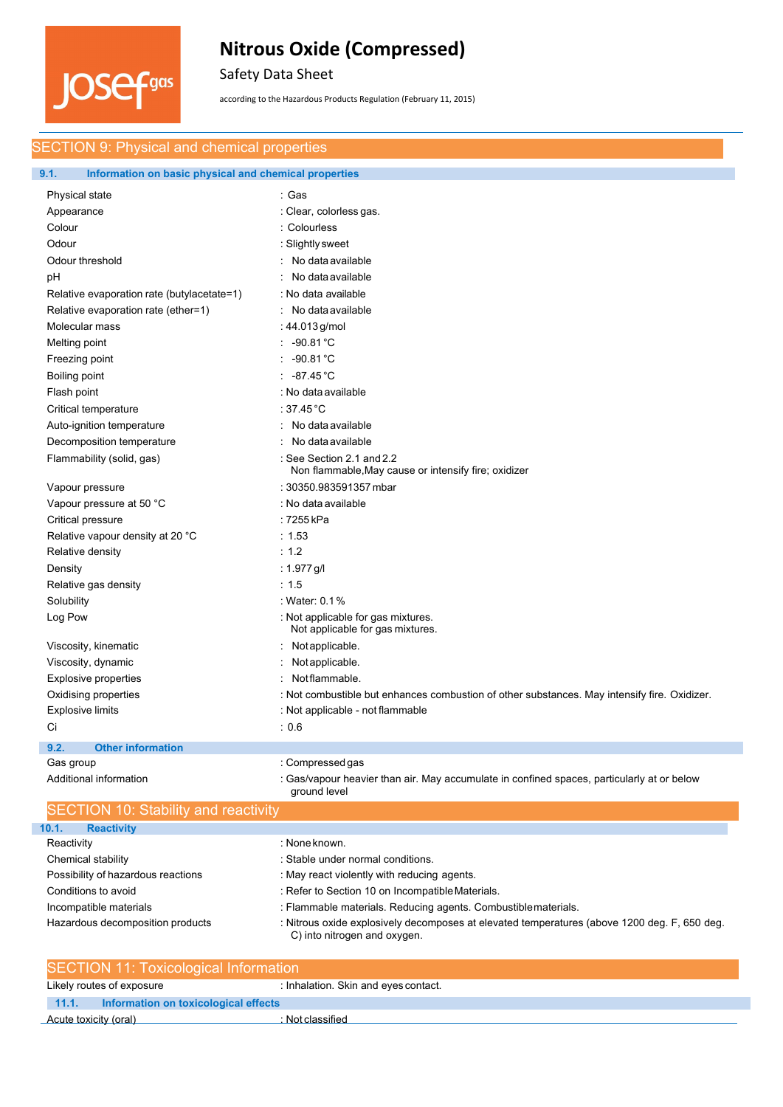

Safety Data Sheet

according to the Hazardous Products Regulation (February 11, 2015)

# SECTION 9: Physical and chemical properties

### **9.1. Information on basic physical and chemical properties**

| Physical state                             | : Gas                                                                                                      |
|--------------------------------------------|------------------------------------------------------------------------------------------------------------|
| Appearance                                 | : Clear, colorless gas.                                                                                    |
| Colour                                     | : Colourless                                                                                               |
| Odour                                      | : Slightly sweet                                                                                           |
| Odour threshold                            | : No data available                                                                                        |
| pH                                         | No data available                                                                                          |
| Relative evaporation rate (butylacetate=1) | : No data available                                                                                        |
| Relative evaporation rate (ether=1)        | : No data available                                                                                        |
| Molecular mass                             | : 44.013 g/mol                                                                                             |
| Melting point                              | $-90.81 °C$                                                                                                |
| Freezing point                             | $-90.81^{\circ}$ C                                                                                         |
| Boiling point                              | -87.45 °C                                                                                                  |
| Flash point                                | : No data available                                                                                        |
| Critical temperature                       | : 37.45 $^{\circ}$ C                                                                                       |
| Auto-ignition temperature                  | No data available                                                                                          |
| Decomposition temperature                  | No data available                                                                                          |
| Flammability (solid, gas)                  | : See Section 2.1 and 2.2<br>Non flammable, May cause or intensify fire; oxidizer                          |
| Vapour pressure                            | : 30350.983591357 mbar                                                                                     |
| Vapour pressure at 50 °C                   | : No data available                                                                                        |
| Critical pressure                          | : 7255 kPa                                                                                                 |
| Relative vapour density at 20 °C           | : 1.53                                                                                                     |
| Relative density                           | : 1.2                                                                                                      |
| Density                                    | : 1.977 g/l                                                                                                |
| Relative gas density                       | : 1.5                                                                                                      |
| Solubility                                 | : Water: 0.1%                                                                                              |
| Log Pow                                    | : Not applicable for gas mixtures.<br>Not applicable for gas mixtures.                                     |
| Viscosity, kinematic                       | Not applicable.<br>÷                                                                                       |
| Viscosity, dynamic                         | Not applicable.                                                                                            |
| Explosive properties                       | Not flammable.                                                                                             |
| Oxidising properties                       | : Not combustible but enhances combustion of other substances. May intensify fire. Oxidizer.               |
| <b>Explosive limits</b>                    | : Not applicable - not flammable                                                                           |
| Ci                                         | : 0.6                                                                                                      |
| 9.2.<br><b>Other information</b>           |                                                                                                            |
| Gas group                                  | : Compressed gas                                                                                           |
| Additional information                     | : Gas/vapour heavier than air. May accumulate in confined spaces, particularly at or below<br>ground level |

| <b>SECTION 10: Stability and reactivity</b> |                                                                                                                              |  |
|---------------------------------------------|------------------------------------------------------------------------------------------------------------------------------|--|
| 10.1.<br><b>Reactivity</b>                  |                                                                                                                              |  |
| Reactivity                                  | : None known.                                                                                                                |  |
| Chemical stability                          | : Stable under normal conditions.                                                                                            |  |
| Possibility of hazardous reactions          | : May react violently with reducing agents.                                                                                  |  |
| Conditions to avoid                         | : Refer to Section 10 on Incompatible Materials.                                                                             |  |
| Incompatible materials                      | : Flammable materials. Reducing agents. Combustible materials.                                                               |  |
| Hazardous decomposition products            | : Nitrous oxide explosively decomposes at elevated temperatures (above 1200 deg. F, 650 deg.<br>C) into nitrogen and oxygen. |  |

| <b>SECTION 11: Toxicological Information</b>   |                                      |  |
|------------------------------------------------|--------------------------------------|--|
| Likely routes of exposure                      | : Inhalation. Skin and eyes contact. |  |
| Information on toxicological effects<br>11.1.7 |                                      |  |
| Acute toxicity (oral)                          | Not classified                       |  |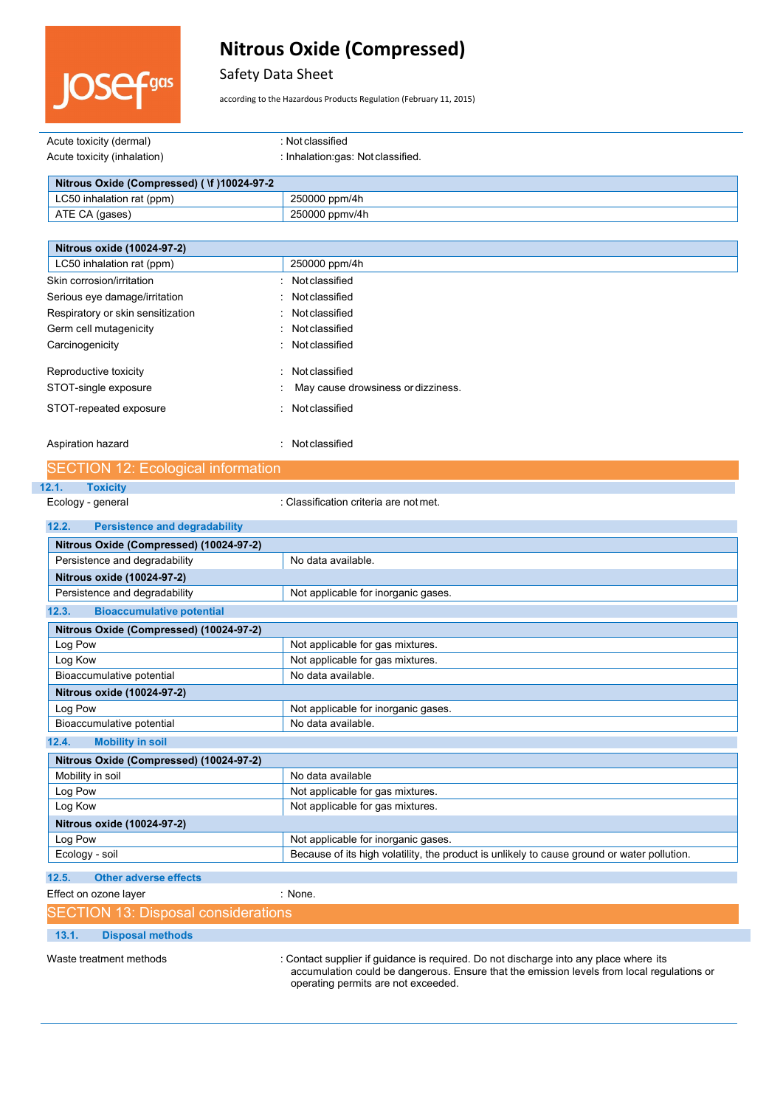

# Safety Data Sheet

according to the Hazardous Products Regulation (February 11, 2015)

| Acute toxicity (dermal)                     | : Not classified                   |
|---------------------------------------------|------------------------------------|
| Acute toxicity (inhalation)                 | : Inhalation:gas: Not classified.  |
|                                             |                                    |
| Nitrous Oxide (Compressed) ( \f )10024-97-2 |                                    |
| LC50 inhalation rat (ppm)                   | 250000 ppm/4h                      |
| ATE CA (gases)                              | 250000 ppmv/4h                     |
|                                             |                                    |
| Nitrous oxide (10024-97-2)                  |                                    |
| LC50 inhalation rat (ppm)                   | 250000 ppm/4h                      |
| Skin corrosion/irritation                   | : Notclassified                    |
| Serious eye damage/irritation               | Not classified<br>٠.               |
| Respiratory or skin sensitization           | : Not classified                   |
| Germ cell mutagenicity                      | Not classified                     |
| Carcinogenicity                             | : Not classified                   |
| Reproductive toxicity                       | Not classified<br>$\sim$           |
| STOT-single exposure                        | May cause drowsiness or dizziness. |

STOT-repeated exposure in the state of the STOT-repeated exposure

Aspiration hazard **in the contract of the contract of the contract of the contract of the contract of the contract of the contract of the contract of the contract of the contract of the contract of the contract of the cont** 

|       | <b>SECTION 12: Ecological information</b> |                                        |
|-------|-------------------------------------------|----------------------------------------|
| 12.1. | <b>Toxicity</b>                           |                                        |
|       | Ecology - general                         | : Classification criteria are not met. |

| 12.2.<br><b>Persistence and degradability</b> |                                     |  |  |  |  |  |
|-----------------------------------------------|-------------------------------------|--|--|--|--|--|
| Nitrous Oxide (Compressed) (10024-97-2)       |                                     |  |  |  |  |  |
| Persistence and degradability                 | No data available.                  |  |  |  |  |  |
| Nitrous oxide (10024-97-2)                    |                                     |  |  |  |  |  |
| Persistence and degradability                 | Not applicable for inorganic gases. |  |  |  |  |  |
| <b>Bioaccumulative potential</b><br>12.3.     |                                     |  |  |  |  |  |
| Nitrous Oxide (Compressed) (10024-97-2)       |                                     |  |  |  |  |  |
| Log Pow                                       | Not applicable for gas mixtures.    |  |  |  |  |  |
| Log Kow                                       | Not applicable for gas mixtures.    |  |  |  |  |  |
| Bioaccumulative potential                     | No data available.                  |  |  |  |  |  |
| Nitrous oxide (10024-97-2)                    |                                     |  |  |  |  |  |
| Log Pow                                       | Not applicable for inorganic gases. |  |  |  |  |  |
| Bioaccumulative potential                     | No data available.                  |  |  |  |  |  |
| <b>Mobility in soil</b><br>12.4.              |                                     |  |  |  |  |  |
| Nitrous Oxide (Compressed) (10024-97-2)       |                                     |  |  |  |  |  |
| Mobility in soil                              | No data available                   |  |  |  |  |  |
| Log Pow                                       | Not applicable for gas mixtures.    |  |  |  |  |  |
| Log Kow                                       | Not applicable for gas mixtures.    |  |  |  |  |  |
| Nitrous oxide (10024-97-2)                    |                                     |  |  |  |  |  |
| Log Pow                                       | Not applicable for inorganic gases. |  |  |  |  |  |

Ecology - soil **Because of its high volatility, the product is unlikely to cause ground or water pollution.** 

**12.5. Other adverse effects**

Effect on ozone layer in the same in the set of the SN one.

SECTION 13: Disposal considerations

**13.1. Disposal methods**

Waste treatment methods : Contact supplier if guidance is required. Do not discharge into any place where its accumulation could be dangerous. Ensure that the emission levels from local regulations or operating permits are not exceeded.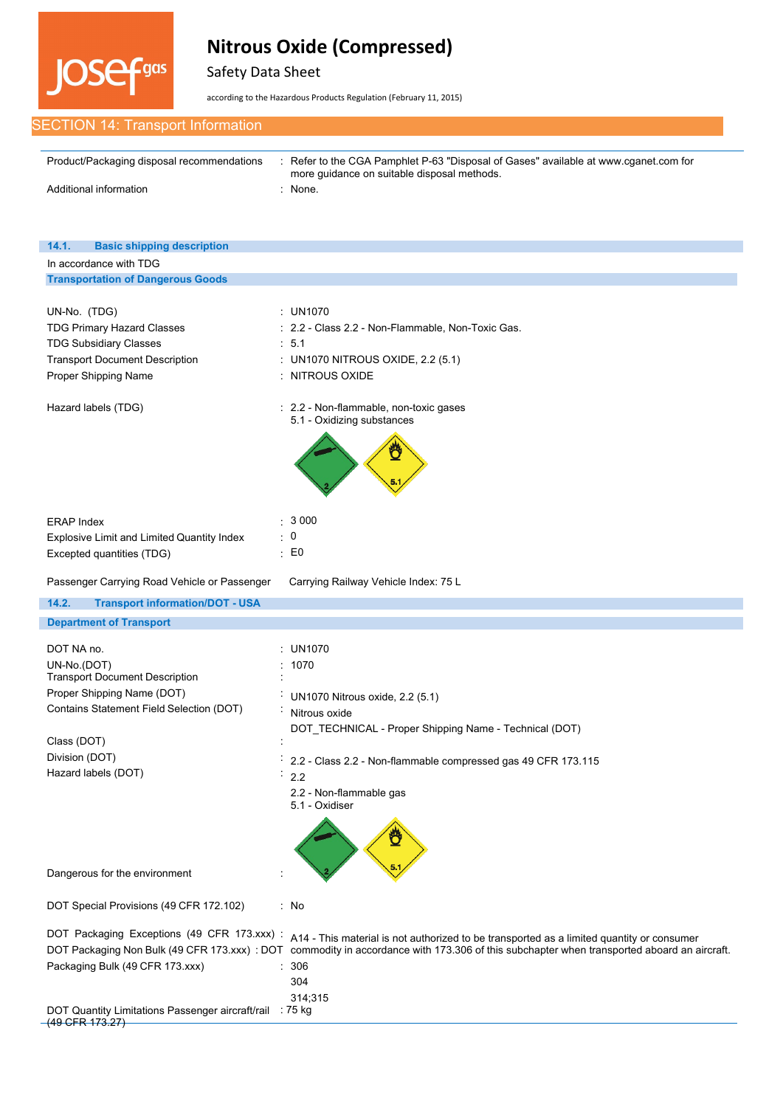

Safety Data Sheet

according to the Hazardous Products Regulation (February 11, 2015)

| <b>SECTION 14: Transport Information</b> |
|------------------------------------------|
|------------------------------------------|

| Product/Packaging disposal recommendations | Refer to the CGA Pamphlet P-63 "Disposal of Gases" available at www.cqanet.com for<br>more guidance on suitable disposal methods. |
|--------------------------------------------|-----------------------------------------------------------------------------------------------------------------------------------|
| Additional information                     | None.                                                                                                                             |

| 14.1.<br><b>Basic shipping description</b>                                                                                                                                 |                                                                                                                                                                                                          |  |  |  |  |
|----------------------------------------------------------------------------------------------------------------------------------------------------------------------------|----------------------------------------------------------------------------------------------------------------------------------------------------------------------------------------------------------|--|--|--|--|
| In accordance with TDG                                                                                                                                                     |                                                                                                                                                                                                          |  |  |  |  |
| <b>Transportation of Dangerous Goods</b>                                                                                                                                   |                                                                                                                                                                                                          |  |  |  |  |
| UN-No. (TDG)<br><b>TDG Primary Hazard Classes</b><br><b>TDG Subsidiary Classes</b><br><b>Transport Document Description</b><br>Proper Shipping Name<br>Hazard labels (TDG) | : $UN1070$<br>: 2.2 - Class 2.2 - Non-Flammable, Non-Toxic Gas.<br>: 5.1<br>: UN1070 NITROUS OXIDE, 2.2 (5.1)<br>: NITROUS OXIDE<br>: 2.2 - Non-flammable, non-toxic gases<br>5.1 - Oxidizing substances |  |  |  |  |
| <b>ERAP Index</b><br>Explosive Limit and Limited Quantity Index<br>Excepted quantities (TDG)                                                                               | : 3000<br>$\therefore$ 0<br>$\therefore$ EO                                                                                                                                                              |  |  |  |  |
| Passenger Carrying Road Vehicle or Passenger                                                                                                                               | Carrying Railway Vehicle Index: 75 L                                                                                                                                                                     |  |  |  |  |
| 14.2.<br><b>Transport information/DOT - USA</b>                                                                                                                            |                                                                                                                                                                                                          |  |  |  |  |
| <b>Department of Transport</b>                                                                                                                                             |                                                                                                                                                                                                          |  |  |  |  |
| DOT NA no.                                                                                                                                                                 | <b>UN1070</b>                                                                                                                                                                                            |  |  |  |  |
| UN-No.(DOT)                                                                                                                                                                | 1070                                                                                                                                                                                                     |  |  |  |  |
| <b>Transport Document Description</b>                                                                                                                                      |                                                                                                                                                                                                          |  |  |  |  |
| Proper Shipping Name (DOT)                                                                                                                                                 | UN1070 Nitrous oxide, 2.2 (5.1)                                                                                                                                                                          |  |  |  |  |
| Contains Statement Field Selection (DOT)                                                                                                                                   | Nitrous oxide                                                                                                                                                                                            |  |  |  |  |
|                                                                                                                                                                            | DOT_TECHNICAL - Proper Shipping Name - Technical (DOT)                                                                                                                                                   |  |  |  |  |
| Class (DOT)                                                                                                                                                                |                                                                                                                                                                                                          |  |  |  |  |
| Division (DOT)                                                                                                                                                             | 2.2 - Class 2.2 - Non-flammable compressed gas 49 CFR 173.115                                                                                                                                            |  |  |  |  |
| Hazard labels (DOT)                                                                                                                                                        | 2.2<br>÷,                                                                                                                                                                                                |  |  |  |  |
|                                                                                                                                                                            | 2.2 - Non-flammable gas<br>5.1 - Oxidiser<br>Ö                                                                                                                                                           |  |  |  |  |
| Dangerous for the environment                                                                                                                                              |                                                                                                                                                                                                          |  |  |  |  |
| DOT Special Provisions (49 CFR 172.102)                                                                                                                                    | : No                                                                                                                                                                                                     |  |  |  |  |
| DOT Packaging Exceptions (49 CFR 173 xxx) :                                                                                                                                | A14 - This material is not authorized to be transported as a limited quantity or consumer                                                                                                                |  |  |  |  |
| DOT Packaging Non Bulk (49 CFR 173.xxx) : DOT                                                                                                                              | commodity in accordance with 173.306 of this subchapter when transported aboard an aircraft.                                                                                                             |  |  |  |  |
| Packaging Bulk (49 CFR 173.xxx)                                                                                                                                            | 306                                                                                                                                                                                                      |  |  |  |  |
|                                                                                                                                                                            | 304                                                                                                                                                                                                      |  |  |  |  |
|                                                                                                                                                                            | 314;315                                                                                                                                                                                                  |  |  |  |  |
| DOT Quantity Limitations Passenger aircraft/rail : 75 kg<br>(49 GFR 173.27)                                                                                                |                                                                                                                                                                                                          |  |  |  |  |